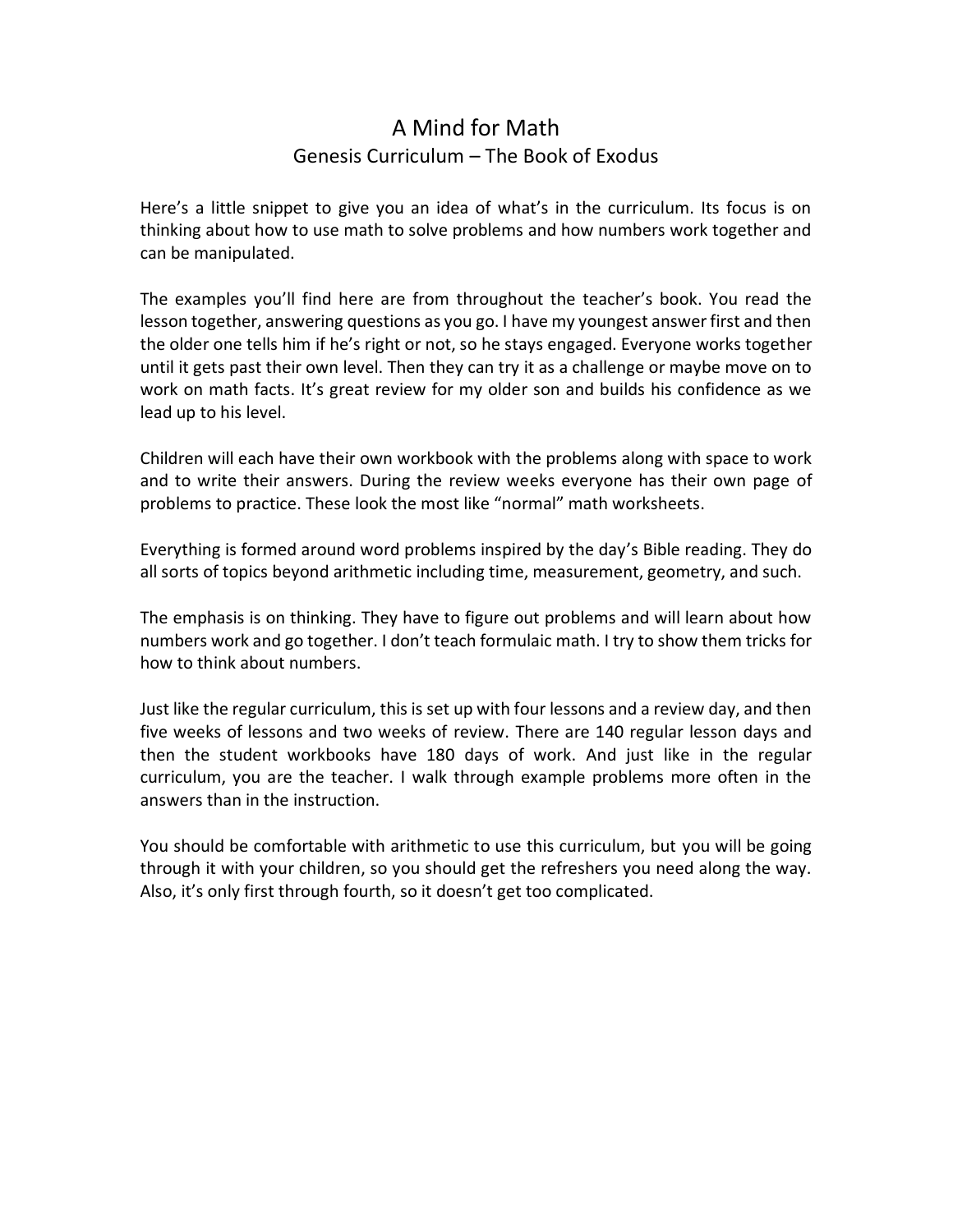# A Mind for Math Genesis Curriculum – The Book of Exodus

Here's a little snippet to give you an idea of what's in the curriculum. Its focus is on thinking about how to use math to solve problems and how numbers work together and can be manipulated.

The examples you'll find here are from throughout the teacher's book. You read the lesson together, answering questions as you go. I have my youngest answer first and then the older one tells him if he's right or not, so he stays engaged. Everyone works together until it gets past their own level. Then they can try it as a challenge or maybe move on to work on math facts. It's great review for my older son and builds his confidence as we lead up to his level.

Children will each have their own workbook with the problems along with space to work and to write their answers. During the review weeks everyone has their own page of problems to practice. These look the most like "normal" math worksheets.

Everything is formed around word problems inspired by the day's Bible reading. They do all sorts of topics beyond arithmetic including time, measurement, geometry, and such.

The emphasis is on thinking. They have to figure out problems and will learn about how numbers work and go together. I don't teach formulaic math. I try to show them tricks for how to think about numbers.

Just like the regular curriculum, this is set up with four lessons and a review day, and then five weeks of lessons and two weeks of review. There are 140 regular lesson days and then the student workbooks have 180 days of work. And just like in the regular curriculum, you are the teacher. I walk through example problems more often in the answers than in the instruction.

You should be comfortable with arithmetic to use this curriculum, but you will be going through it with your children, so you should get the refreshers you need along the way. Also, it's only first through fourth, so it doesn't get too complicated.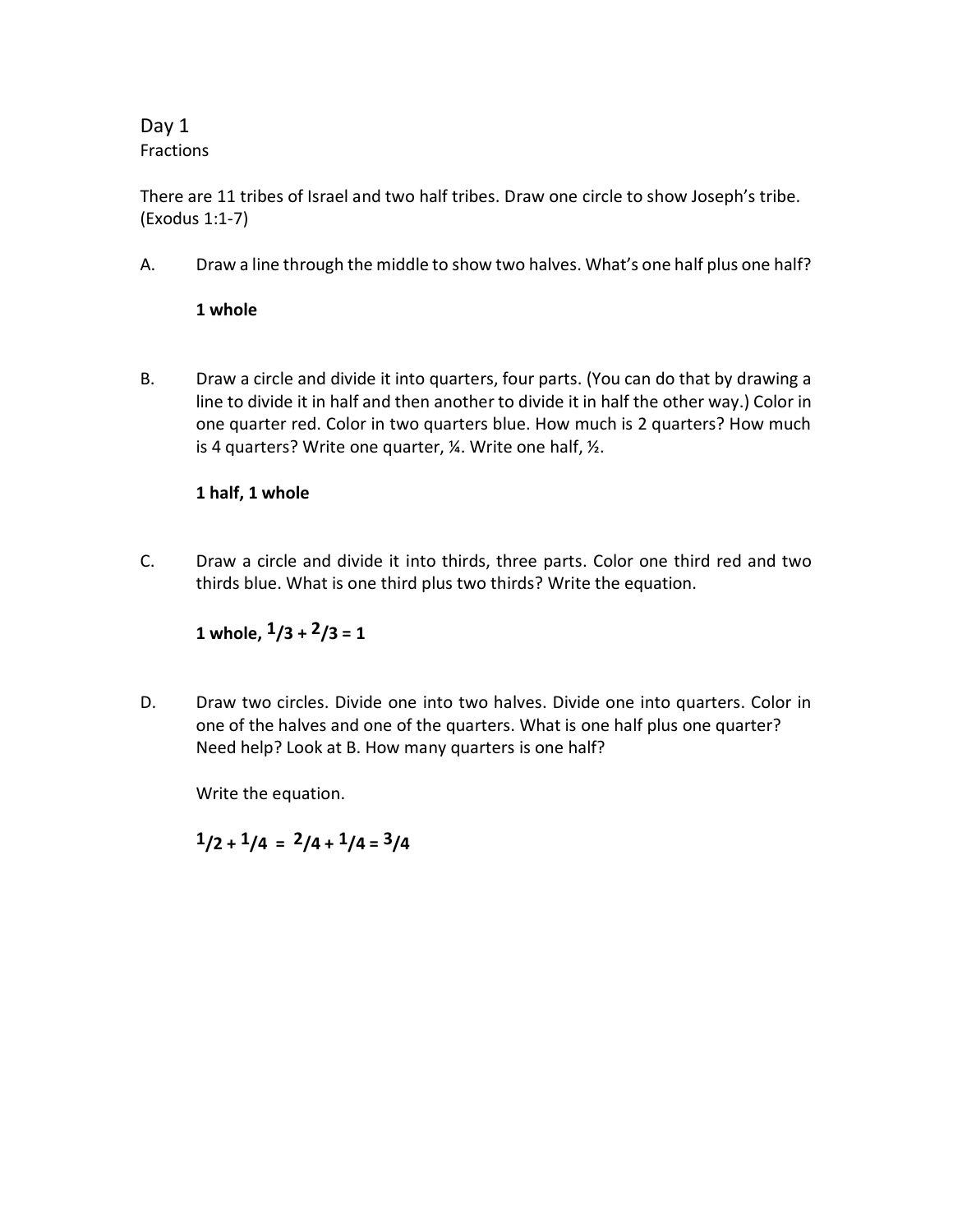# Day 1 Fractions

There are 11 tribes of Israel and two half tribes. Draw one circle to show Joseph's tribe. (Exodus 1:1-7)

A. Draw a line through the middle to show two halves. What's one half plus one half?

## **1 whole**

B. Draw a circle and divide it into quarters, four parts. (You can do that by drawing a line to divide it in half and then another to divide it in half the other way.) Color in one quarter red. Color in two quarters blue. How much is 2 quarters? How much is 4 quarters? Write one quarter,  $\frac{1}{4}$ . Write one half,  $\frac{1}{2}$ .

## **1 half, 1 whole**

C. Draw a circle and divide it into thirds, three parts. Color one third red and two thirds blue. What is one third plus two thirds? Write the equation.

# **1 whole, 1/3 + 2/3 = 1**

D. Draw two circles. Divide one into two halves. Divide one into quarters. Color in one of the halves and one of the quarters. What is one half plus one quarter? Need help? Look at B. How many quarters is one half?

Write the equation.

 $1/2 + 1/4 = 2/4 + 1/4 = 3/4$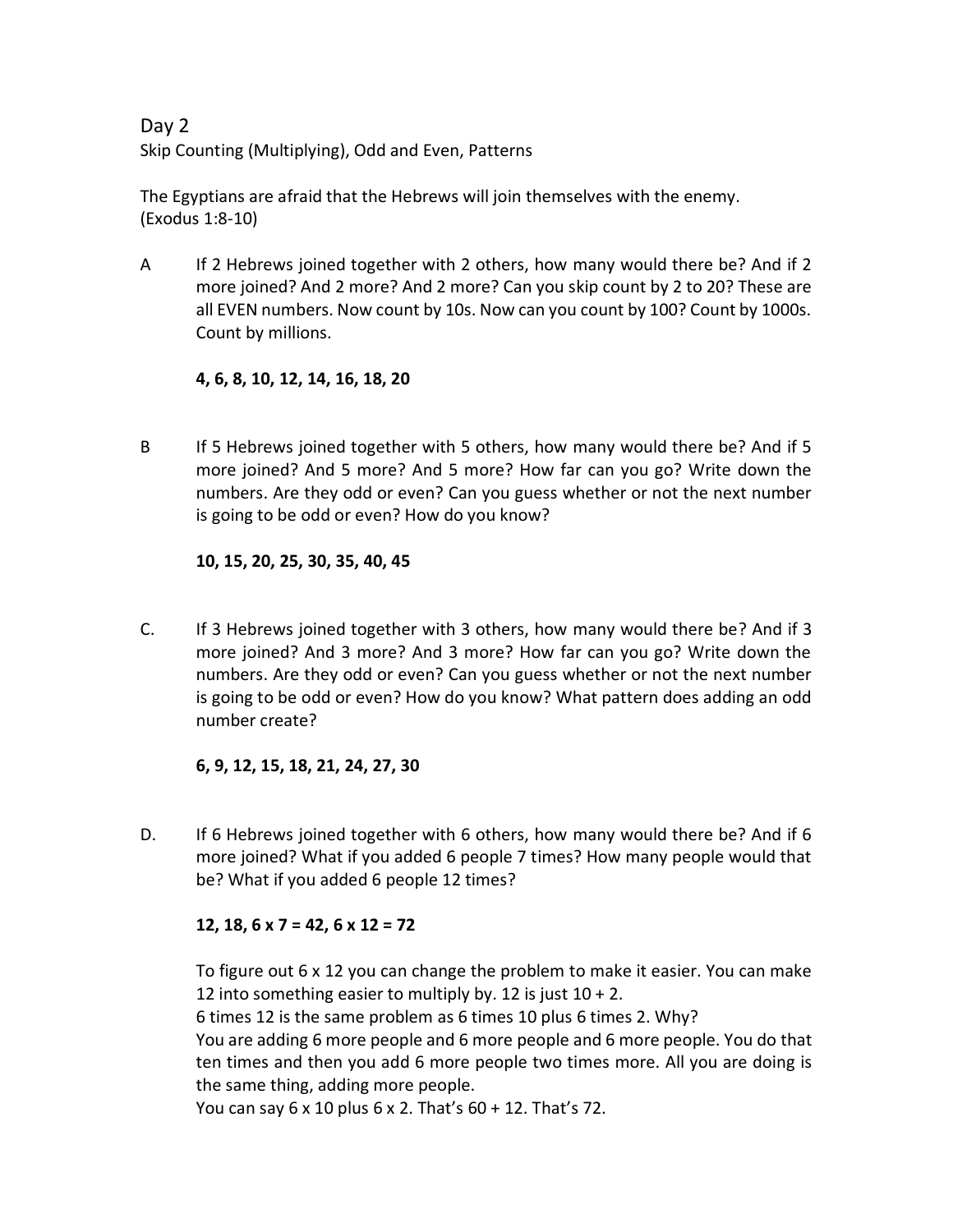Day 2 Skip Counting (Multiplying), Odd and Even, Patterns

The Egyptians are afraid that the Hebrews will join themselves with the enemy. (Exodus 1:8-10)

A If 2 Hebrews joined together with 2 others, how many would there be? And if 2 more joined? And 2 more? And 2 more? Can you skip count by 2 to 20? These are all EVEN numbers. Now count by 10s. Now can you count by 100? Count by 1000s. Count by millions.

**4, 6, 8, 10, 12, 14, 16, 18, 20**

B If 5 Hebrews joined together with 5 others, how many would there be? And if 5 more joined? And 5 more? And 5 more? How far can you go? Write down the numbers. Are they odd or even? Can you guess whether or not the next number is going to be odd or even? How do you know?

**10, 15, 20, 25, 30, 35, 40, 45**

C. If 3 Hebrews joined together with 3 others, how many would there be? And if 3 more joined? And 3 more? And 3 more? How far can you go? Write down the numbers. Are they odd or even? Can you guess whether or not the next number is going to be odd or even? How do you know? What pattern does adding an odd number create?

**6, 9, 12, 15, 18, 21, 24, 27, 30**

D. If 6 Hebrews joined together with 6 others, how many would there be? And if 6 more joined? What if you added 6 people 7 times? How many people would that be? What if you added 6 people 12 times?

# **12, 18, 6 x 7 = 42, 6 x 12 = 72**

To figure out 6 x 12 you can change the problem to make it easier. You can make 12 into something easier to multiply by. 12 is just  $10 + 2$ .

6 times 12 is the same problem as 6 times 10 plus 6 times 2. Why?

You are adding 6 more people and 6 more people and 6 more people. You do that ten times and then you add 6 more people two times more. All you are doing is the same thing, adding more people.

You can say 6 x 10 plus 6 x 2. That's 60 + 12. That's 72.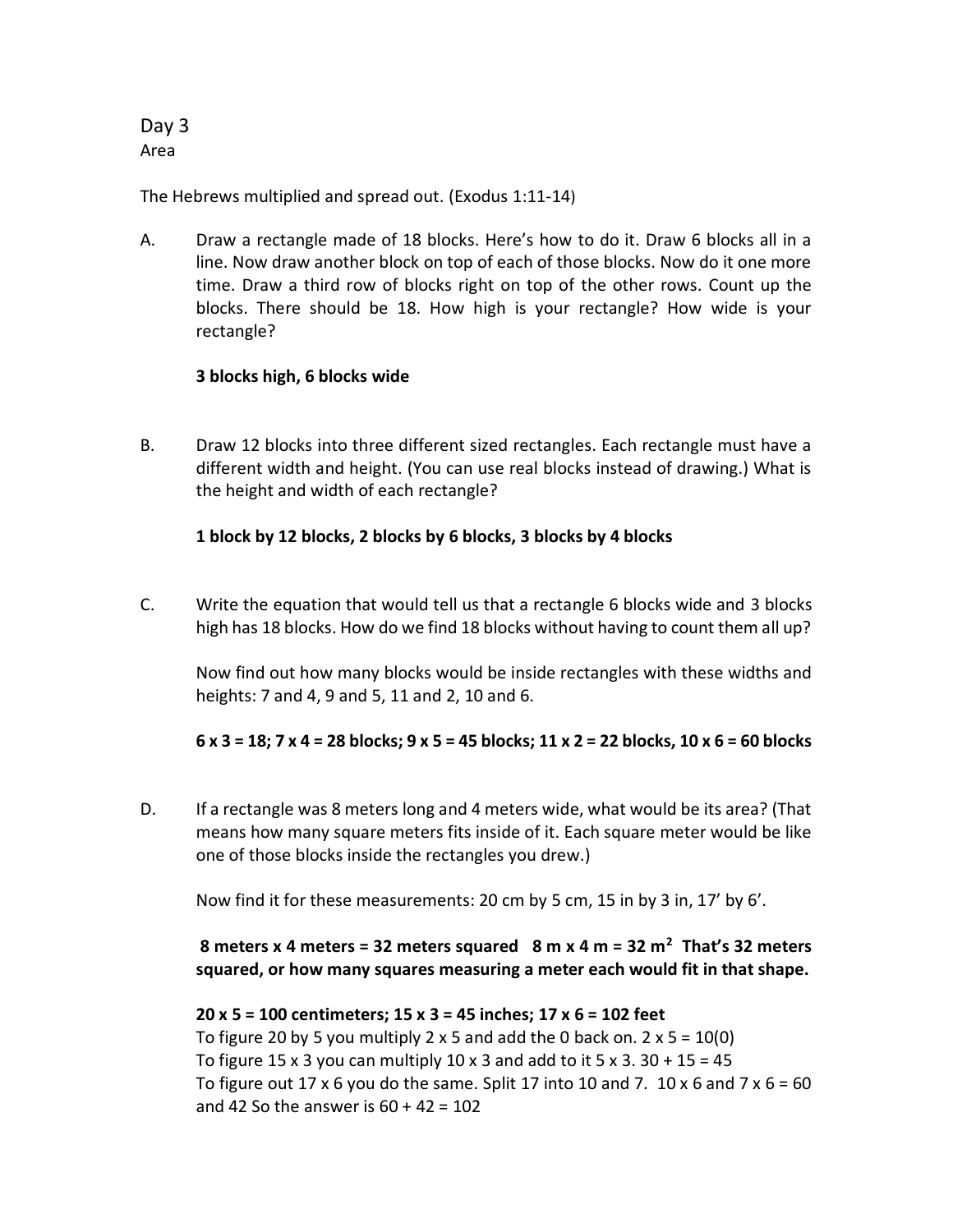Day 3 Area

The Hebrews multiplied and spread out. (Exodus 1:11-14)

A. Draw a rectangle made of 18 blocks. Here's how to do it. Draw 6 blocks all in a line. Now draw another block on top of each of those blocks. Now do it one more time. Draw a third row of blocks right on top of the other rows. Count up the blocks. There should be 18. How high is your rectangle? How wide is your rectangle?

#### **3 blocks high, 6 blocks wide**

B. Draw 12 blocks into three different sized rectangles. Each rectangle must have a different width and height. (You can use real blocks instead of drawing.) What is the height and width of each rectangle?

#### **1 block by 12 blocks, 2 blocks by 6 blocks, 3 blocks by 4 blocks**

C. Write the equation that would tell us that a rectangle 6 blocks wide and 3 blocks high has 18 blocks. How do we find 18 blocks without having to count them all up?

Now find out how many blocks would be inside rectangles with these widths and heights: 7 and 4, 9 and 5, 11 and 2, 10 and 6.

#### **6 x 3 = 18; 7 x 4 = 28 blocks; 9 x 5 = 45 blocks; 11 x 2 = 22 blocks, 10 x 6 = 60 blocks**

D. If a rectangle was 8 meters long and 4 meters wide, what would be its area? (That means how many square meters fits inside of it. Each square meter would be like one of those blocks inside the rectangles you drew.)

Now find it for these measurements: 20 cm by 5 cm, 15 in by 3 in, 17' by 6'.

## **8 meters x 4 meters = 32 meters squared 8 m x 4 m = 32 m<sup>2</sup> That's 32 meters squared, or how many squares measuring a meter each would fit in that shape.**

## **20 x 5 = 100 centimeters; 15 x 3 = 45 inches; 17 x 6 = 102 feet** To figure 20 by 5 you multiply 2 x 5 and add the 0 back on.  $2 \times 5 = 10(0)$ To figure 15 x 3 you can multiply 10 x 3 and add to it 5 x 3.  $30 + 15 = 45$ To figure out 17 x 6 you do the same. Split 17 into 10 and 7. 10 x 6 and 7 x 6 = 60 and 42 So the answer is  $60 + 42 = 102$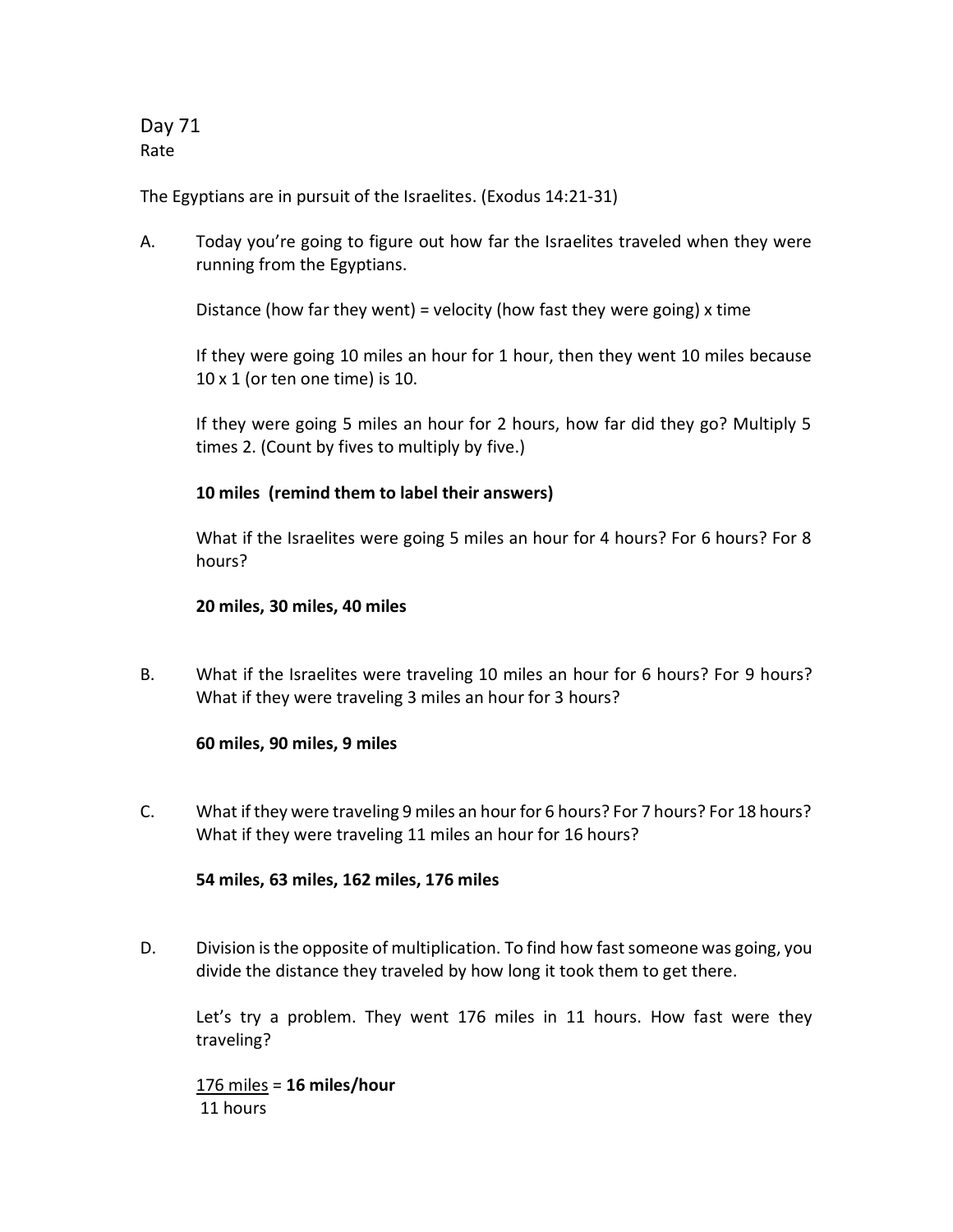Day 71 Rate

The Egyptians are in pursuit of the Israelites. (Exodus 14:21-31)

A. Today you're going to figure out how far the Israelites traveled when they were running from the Egyptians.

Distance (how far they went) = velocity (how fast they were going) x time

If they were going 10 miles an hour for 1 hour, then they went 10 miles because 10 x 1 (or ten one time) is 10.

If they were going 5 miles an hour for 2 hours, how far did they go? Multiply 5 times 2. (Count by fives to multiply by five.)

#### **10 miles (remind them to label their answers)**

What if the Israelites were going 5 miles an hour for 4 hours? For 6 hours? For 8 hours?

#### **20 miles, 30 miles, 40 miles**

B. What if the Israelites were traveling 10 miles an hour for 6 hours? For 9 hours? What if they were traveling 3 miles an hour for 3 hours?

#### **60 miles, 90 miles, 9 miles**

C. What if they were traveling 9 miles an hour for 6 hours? For 7 hours? For 18 hours? What if they were traveling 11 miles an hour for 16 hours?

**54 miles, 63 miles, 162 miles, 176 miles**

D. Division is the opposite of multiplication. To find how fast someone was going, you divide the distance they traveled by how long it took them to get there.

Let's try a problem. They went 176 miles in 11 hours. How fast were they traveling?

176 miles = **16 miles/hour** 11 hours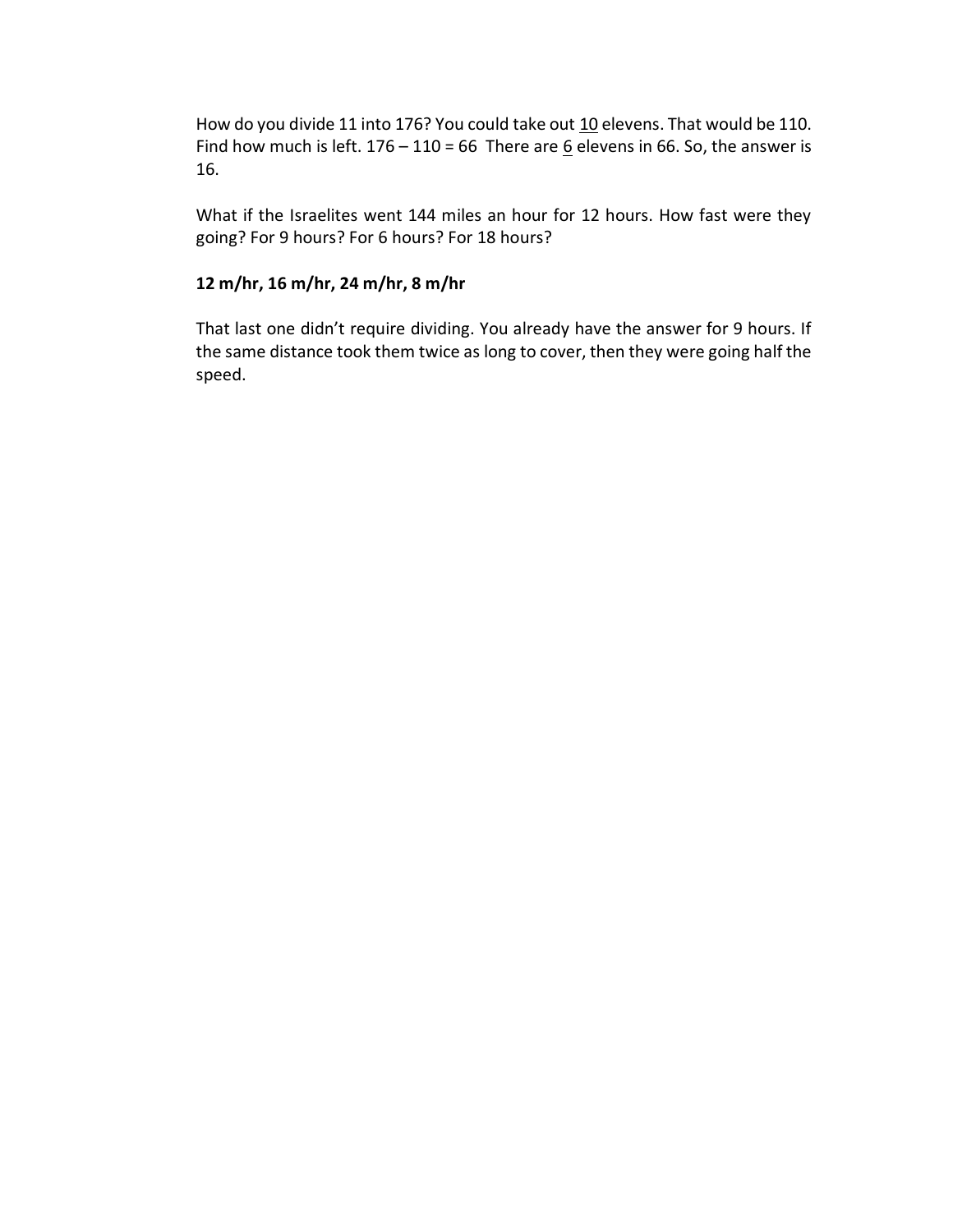How do you divide 11 into 176? You could take out 10 elevens. That would be 110. Find how much is left.  $176 - 110 = 66$  There are  $6$  elevens in 66. So, the answer is 16.

What if the Israelites went 144 miles an hour for 12 hours. How fast were they going? For 9 hours? For 6 hours? For 18 hours?

#### **12 m/hr, 16 m/hr, 24 m/hr, 8 m/hr**

That last one didn't require dividing. You already have the answer for 9 hours. If the same distance took them twice as long to cover, then they were going half the speed.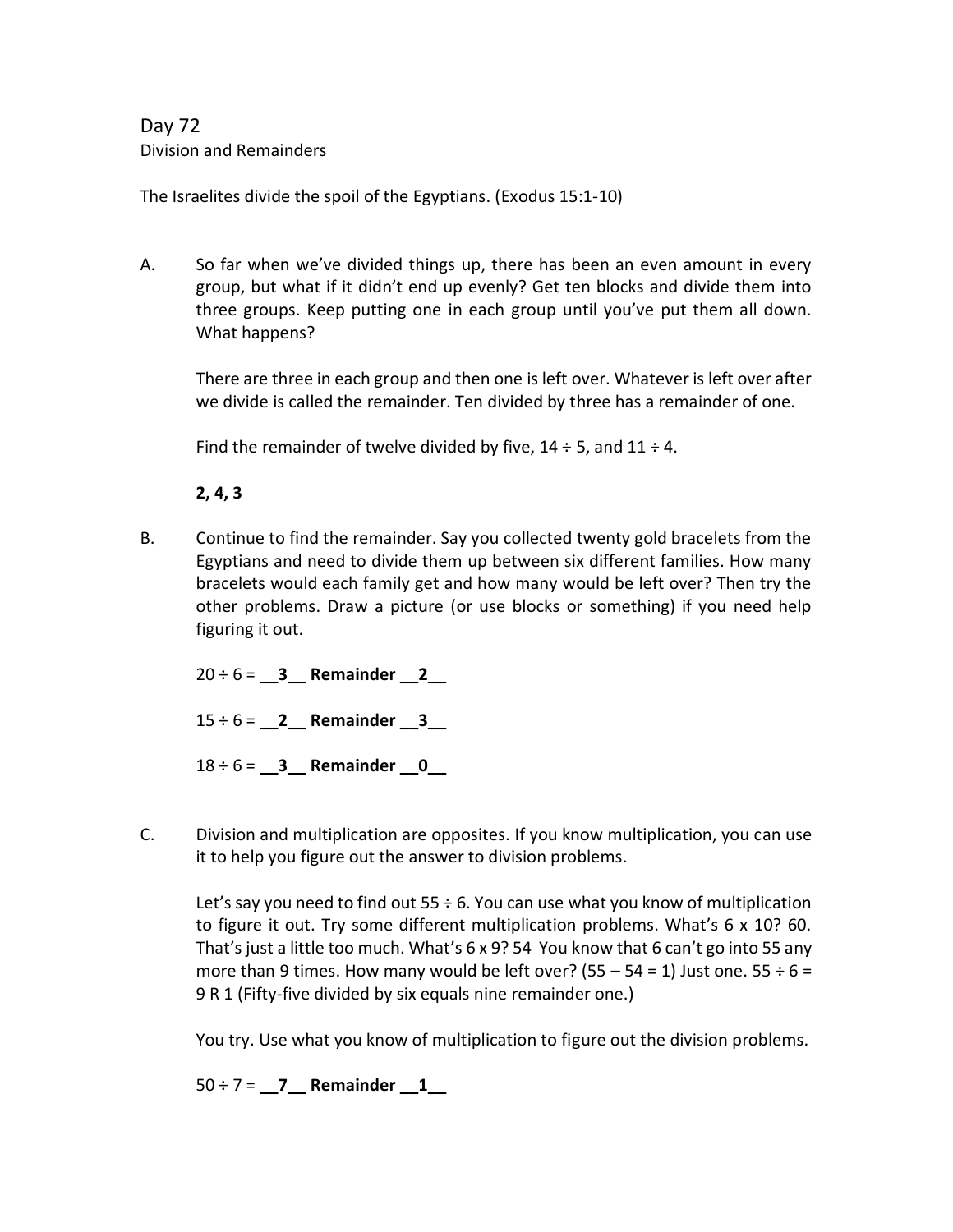# Day 72 Division and Remainders

The Israelites divide the spoil of the Egyptians. (Exodus 15:1-10)

A. So far when we've divided things up, there has been an even amount in every group, but what if it didn't end up evenly? Get ten blocks and divide them into three groups. Keep putting one in each group until you've put them all down. What happens?

There are three in each group and then one is left over. Whatever is left over after we divide is called the remainder. Ten divided by three has a remainder of one.

Find the remainder of twelve divided by five,  $14 \div 5$ , and  $11 \div 4$ .

**2, 4, 3**

B. Continue to find the remainder. Say you collected twenty gold bracelets from the Egyptians and need to divide them up between six different families. How many bracelets would each family get and how many would be left over? Then try the other problems. Draw a picture (or use blocks or something) if you need help figuring it out.

20 ÷ 6 = **\_\_3\_\_ Remainder \_\_2\_\_**

15 ÷ 6 = **\_\_2\_\_ Remainder \_\_3\_\_**

18 ÷ 6 = **\_\_3\_\_ Remainder \_\_0\_\_**

C. Division and multiplication are opposites. If you know multiplication, you can use it to help you figure out the answer to division problems.

Let's say you need to find out  $55 \div 6$ . You can use what you know of multiplication to figure it out. Try some different multiplication problems. What's 6 x 10? 60. That's just a little too much. What's 6 x 9? 54 You know that 6 can't go into 55 any more than 9 times. How many would be left over? (55 – 54 = 1) Just one. 55  $\div$  6 = 9 R 1 (Fifty-five divided by six equals nine remainder one.)

You try. Use what you know of multiplication to figure out the division problems.

50 ÷ 7 = **\_\_7\_\_ Remainder \_\_1\_\_**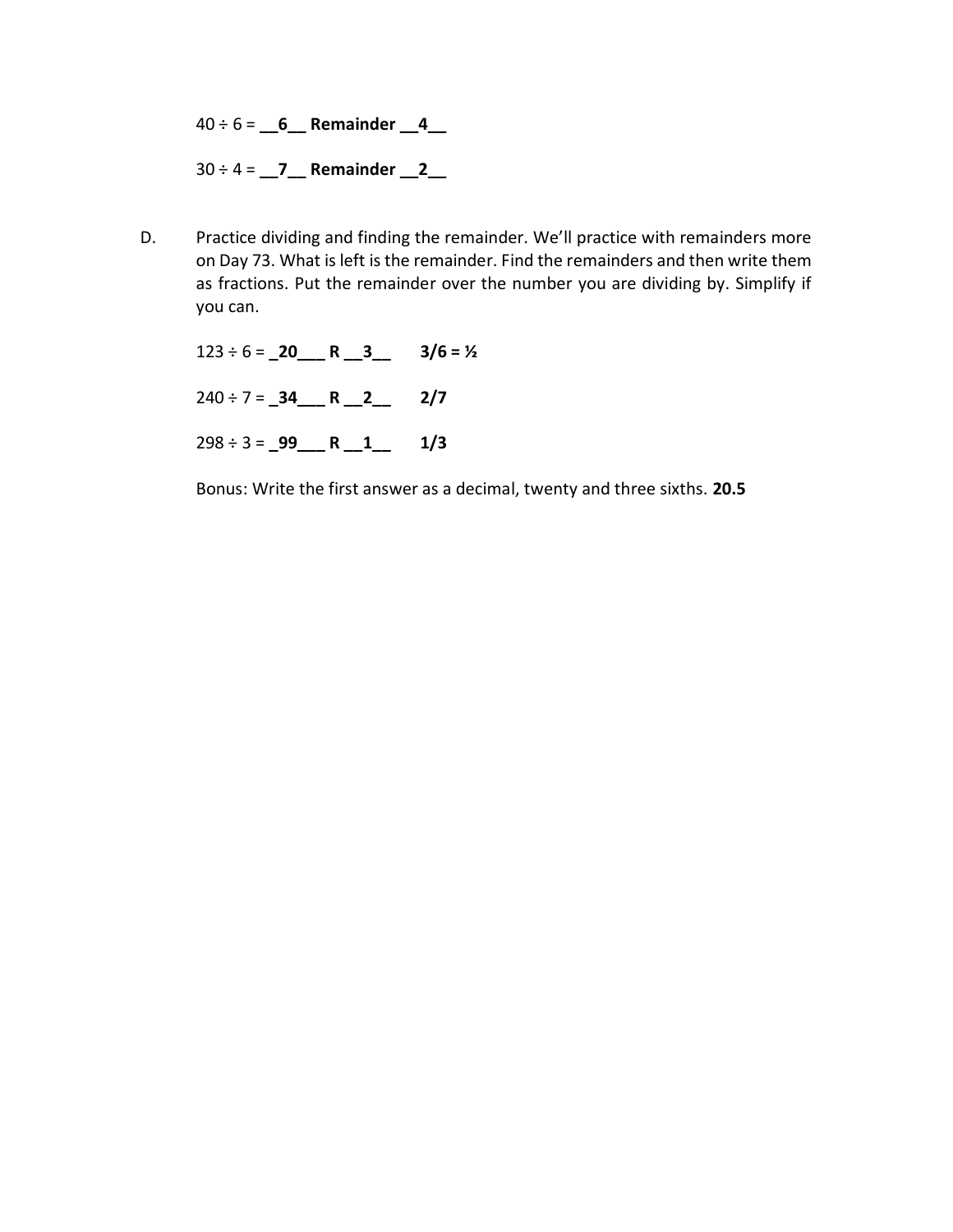40 ÷ 6 = **\_\_6\_\_ Remainder \_\_4\_\_**

30 ÷ 4 = **\_\_7\_\_ Remainder \_\_2\_\_**

D. Practice dividing and finding the remainder. We'll practice with remainders more on Day 73. What is left is the remainder. Find the remainders and then write them as fractions. Put the remainder over the number you are dividing by. Simplify if you can.

123 ÷ 6 = **\_20\_\_\_ R \_\_3\_\_ 3/6 = ½** 240 ÷ 7 = **\_34\_\_\_ R \_\_2\_\_ 2/7** 298 ÷ 3 = **\_99\_\_\_ R \_\_1\_\_ 1/3**

Bonus: Write the first answer as a decimal, twenty and three sixths. **20.5**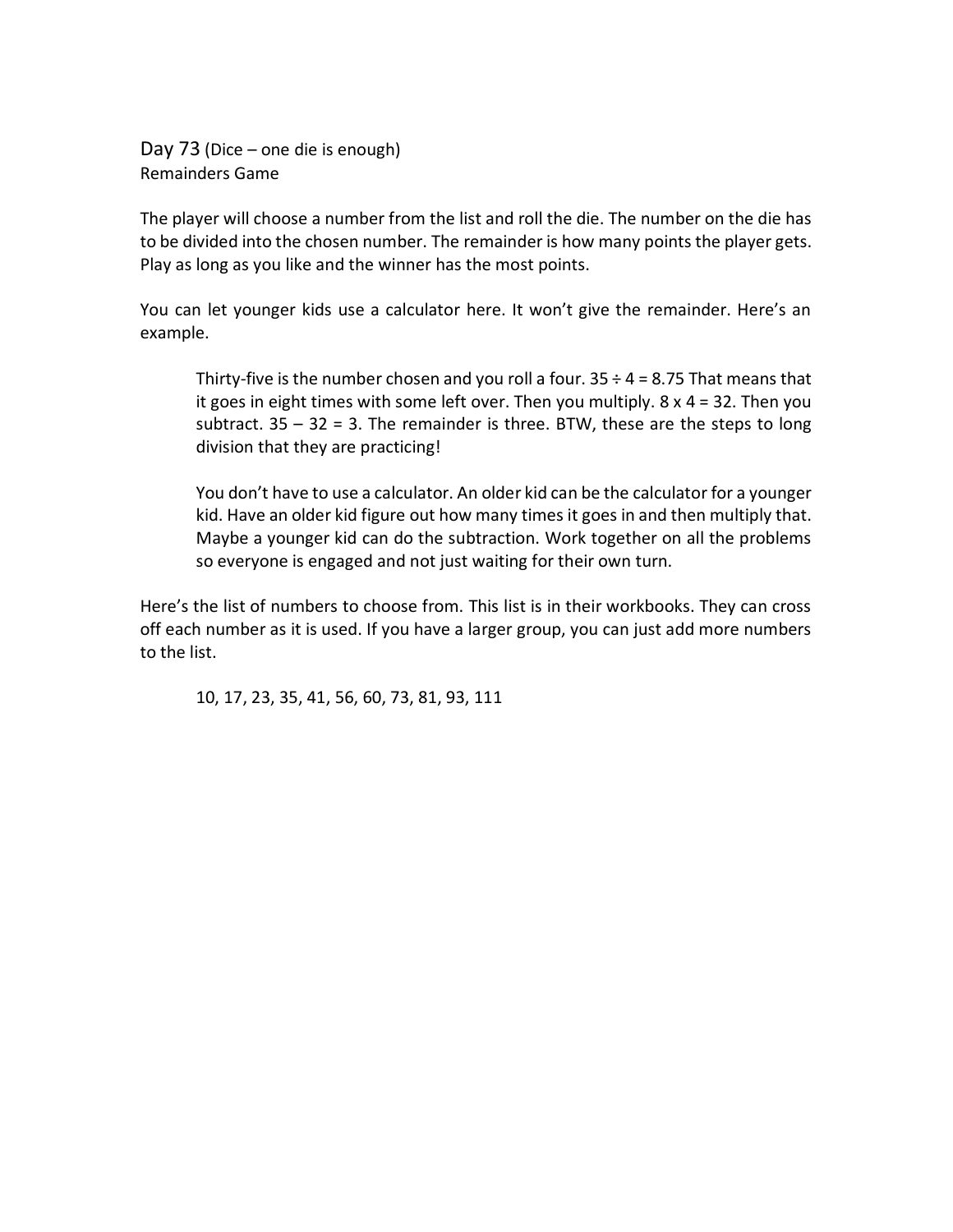Day 73 (Dice – one die is enough) Remainders Game

The player will choose a number from the list and roll the die. The number on the die has to be divided into the chosen number. The remainder is how many points the player gets. Play as long as you like and the winner has the most points.

You can let younger kids use a calculator here. It won't give the remainder. Here's an example.

Thirty-five is the number chosen and you roll a four.  $35 \div 4 = 8.75$  That means that it goes in eight times with some left over. Then you multiply. 8 x 4 = 32. Then you subtract.  $35 - 32 = 3$ . The remainder is three. BTW, these are the steps to long division that they are practicing!

You don't have to use a calculator. An older kid can be the calculator for a younger kid. Have an older kid figure out how many times it goes in and then multiply that. Maybe a younger kid can do the subtraction. Work together on all the problems so everyone is engaged and not just waiting for their own turn.

Here's the list of numbers to choose from. This list is in their workbooks. They can cross off each number as it is used. If you have a larger group, you can just add more numbers to the list.

10, 17, 23, 35, 41, 56, 60, 73, 81, 93, 111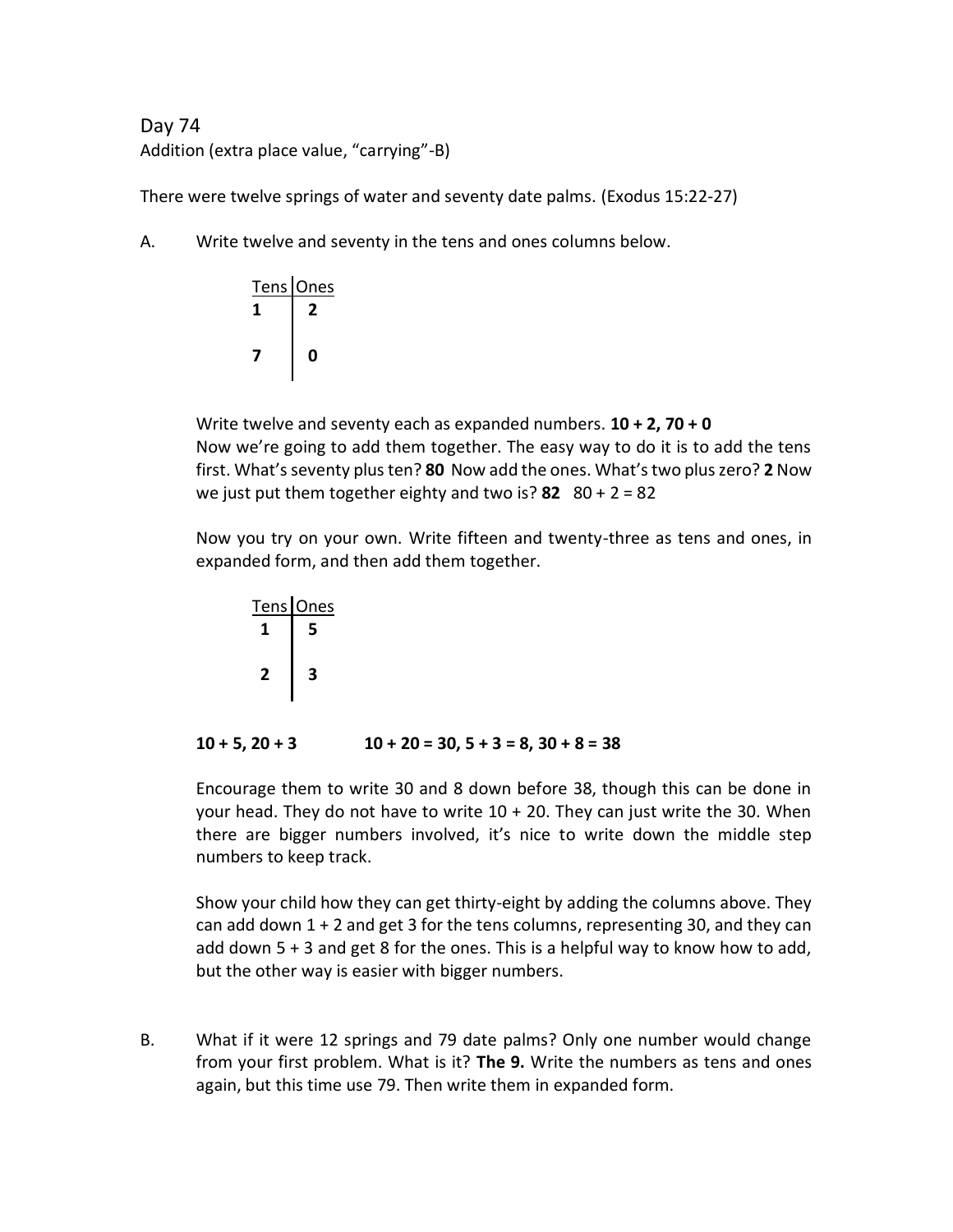# Day 74 Addition (extra place value, "carrying"-B)

There were twelve springs of water and seventy date palms. (Exodus 15:22-27)

A. Write twelve and seventy in the tens and ones columns below.



Write twelve and seventy each as expanded numbers. **10 + 2, 70 + 0** Now we're going to add them together. The easy way to do it is to add the tens first. What's seventy plus ten? **80** Now add the ones. What's two plus zero? **2** Now we just put them together eighty and two is? **82** 80 + 2 = 82

Now you try on your own. Write fifteen and twenty-three as tens and ones, in expanded form, and then add them together.

Tens Ones  **1 5 2 3**

 $10 + 5$ ,  $20 + 3$   $10 + 20 = 30$ ,  $5 + 3 = 8$ ,  $30 + 8 = 38$ 

Encourage them to write 30 and 8 down before 38, though this can be done in your head. They do not have to write 10 + 20. They can just write the 30. When there are bigger numbers involved, it's nice to write down the middle step numbers to keep track.

Show your child how they can get thirty-eight by adding the columns above. They can add down  $1 + 2$  and get 3 for the tens columns, representing 30, and they can add down 5 + 3 and get 8 for the ones. This is a helpful way to know how to add, but the other way is easier with bigger numbers.

B. What if it were 12 springs and 79 date palms? Only one number would change from your first problem. What is it? **The 9.** Write the numbers as tens and ones again, but this time use 79. Then write them in expanded form.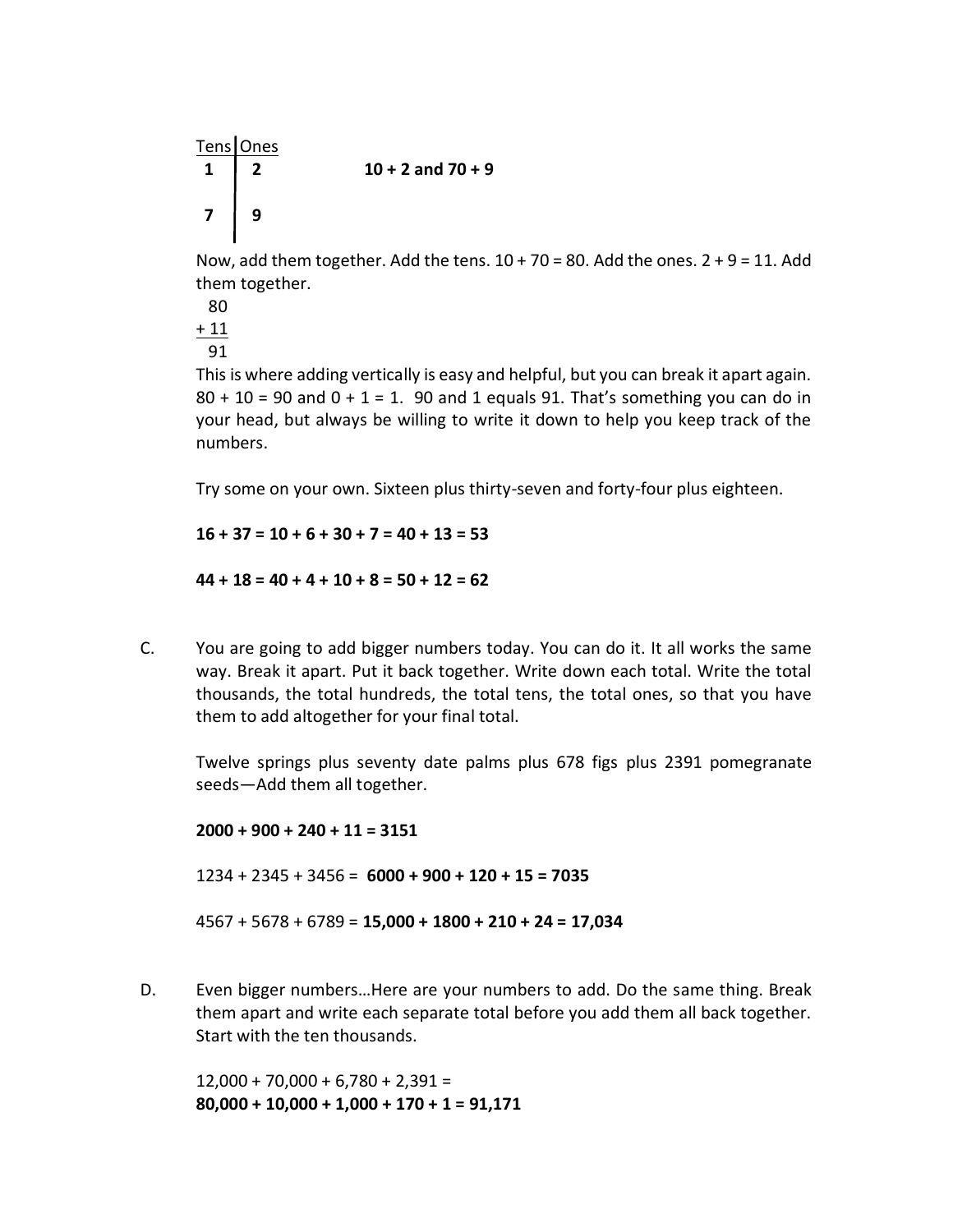Tens Ones  **1 2 10 + 2 and 70 + 9 7 9**

Now, add them together. Add the tens.  $10 + 70 = 80$ . Add the ones.  $2 + 9 = 11$ . Add them together.

This is where adding vertically is easy and helpful, but you can break it apart again.  $80 + 10 = 90$  and  $0 + 1 = 1$ . 90 and 1 equals 91. That's something you can do in your head, but always be willing to write it down to help you keep track of the numbers.

Try some on your own. Sixteen plus thirty-seven and forty-four plus eighteen.

**16 + 37 = 10 + 6 + 30 + 7 = 40 + 13 = 53 44 + 18 = 40 + 4 + 10 + 8 = 50 + 12 = 62**

C. You are going to add bigger numbers today. You can do it. It all works the same way. Break it apart. Put it back together. Write down each total. Write the total thousands, the total hundreds, the total tens, the total ones, so that you have them to add altogether for your final total.

Twelve springs plus seventy date palms plus 678 figs plus 2391 pomegranate seeds—Add them all together.

**2000 + 900 + 240 + 11 = 3151** 1234 + 2345 + 3456 = **6000 + 900 + 120 + 15 = 7035** 4567 + 5678 + 6789 = **15,000 + 1800 + 210 + 24 = 17,034**

D. Even bigger numbers…Here are your numbers to add. Do the same thing. Break them apart and write each separate total before you add them all back together. Start with the ten thousands.

 $12,000 + 70,000 + 6,780 + 2,391 =$ **80,000 + 10,000 + 1,000 + 170 + 1 = 91,171**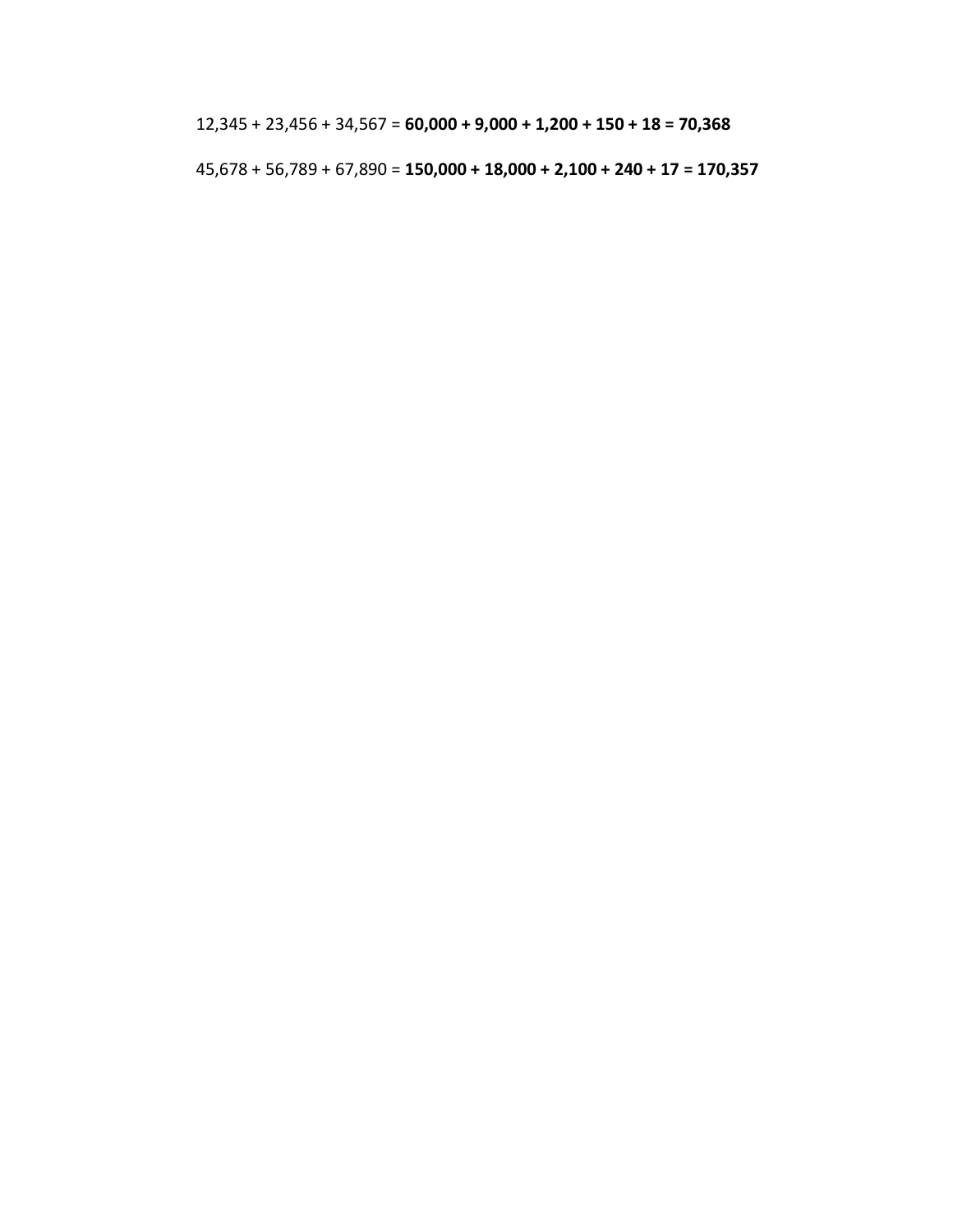12,345 + 23,456 + 34,567 = **60,000 + 9,000 + 1,200 + 150 + 18 = 70,368**

45,678 + 56,789 + 67,890 = **150,000 + 18,000 + 2,100 + 240 + 17 = 170,357**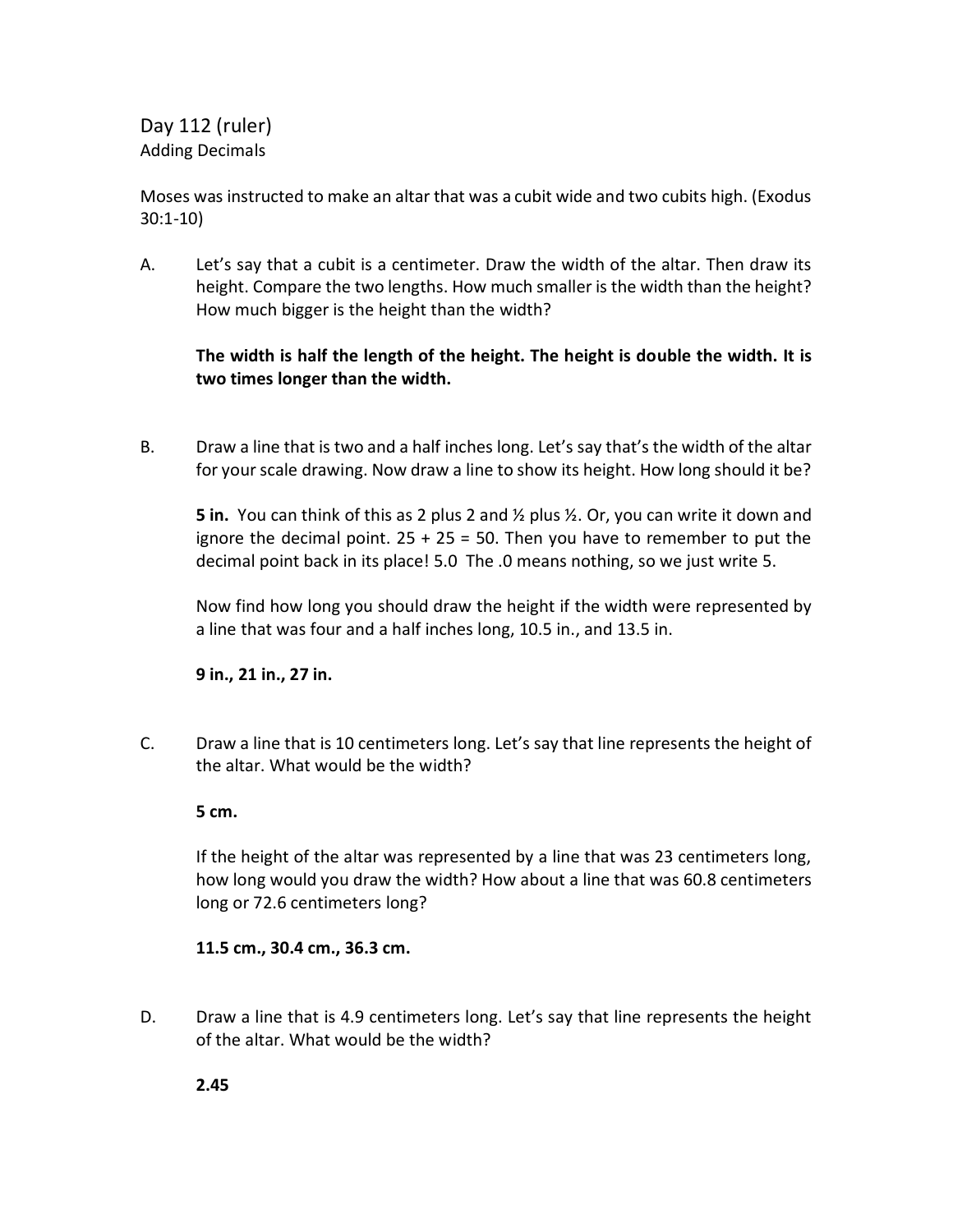Day 112 (ruler) Adding Decimals

Moses was instructed to make an altar that was a cubit wide and two cubits high. (Exodus 30:1-10)

A. Let's say that a cubit is a centimeter. Draw the width of the altar. Then draw its height. Compare the two lengths. How much smaller is the width than the height? How much bigger is the height than the width?

## **The width is half the length of the height. The height is double the width. It is two times longer than the width.**

B. Draw a line that is two and a half inches long. Let's say that's the width of the altar for your scale drawing. Now draw a line to show its height. How long should it be?

**5 in.** You can think of this as 2 plus 2 and ½ plus ½. Or, you can write it down and ignore the decimal point.  $25 + 25 = 50$ . Then you have to remember to put the decimal point back in its place! 5.0 The .0 means nothing, so we just write 5.

Now find how long you should draw the height if the width were represented by a line that was four and a half inches long, 10.5 in., and 13.5 in.

**9 in., 21 in., 27 in.**

C. Draw a line that is 10 centimeters long. Let's say that line represents the height of the altar. What would be the width?

**5 cm.**

If the height of the altar was represented by a line that was 23 centimeters long, how long would you draw the width? How about a line that was 60.8 centimeters long or 72.6 centimeters long?

## **11.5 cm., 30.4 cm., 36.3 cm.**

D. Draw a line that is 4.9 centimeters long. Let's say that line represents the height of the altar. What would be the width?

**2.45**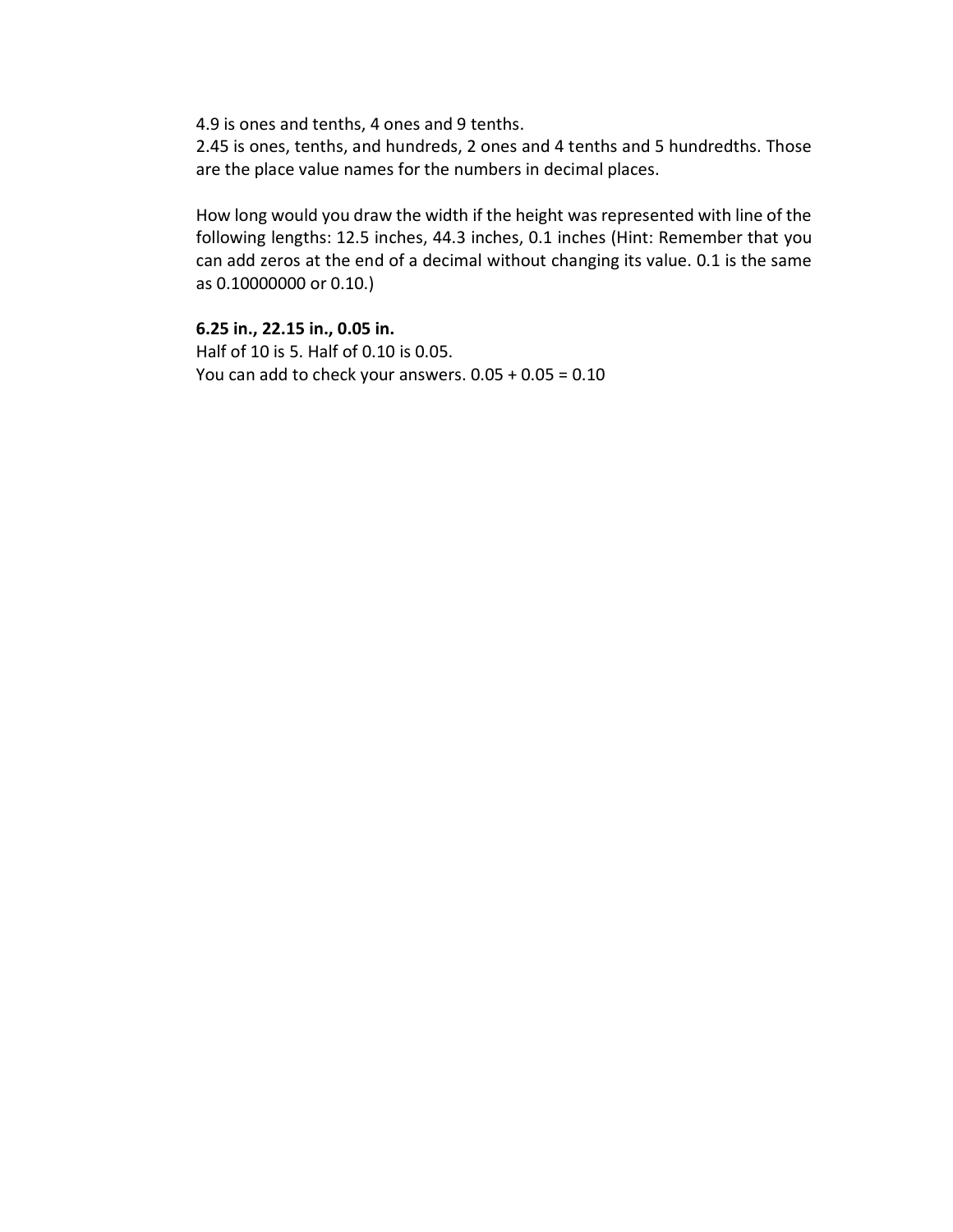4.9 is ones and tenths, 4 ones and 9 tenths.

2.45 is ones, tenths, and hundreds, 2 ones and 4 tenths and 5 hundredths. Those are the place value names for the numbers in decimal places.

How long would you draw the width if the height was represented with line of the following lengths: 12.5 inches, 44.3 inches, 0.1 inches (Hint: Remember that you can add zeros at the end of a decimal without changing its value. 0.1 is the same as 0.10000000 or 0.10.)

**6.25 in., 22.15 in., 0.05 in.**  Half of 10 is 5. Half of 0.10 is 0.05. You can add to check your answers. 0.05 + 0.05 = 0.10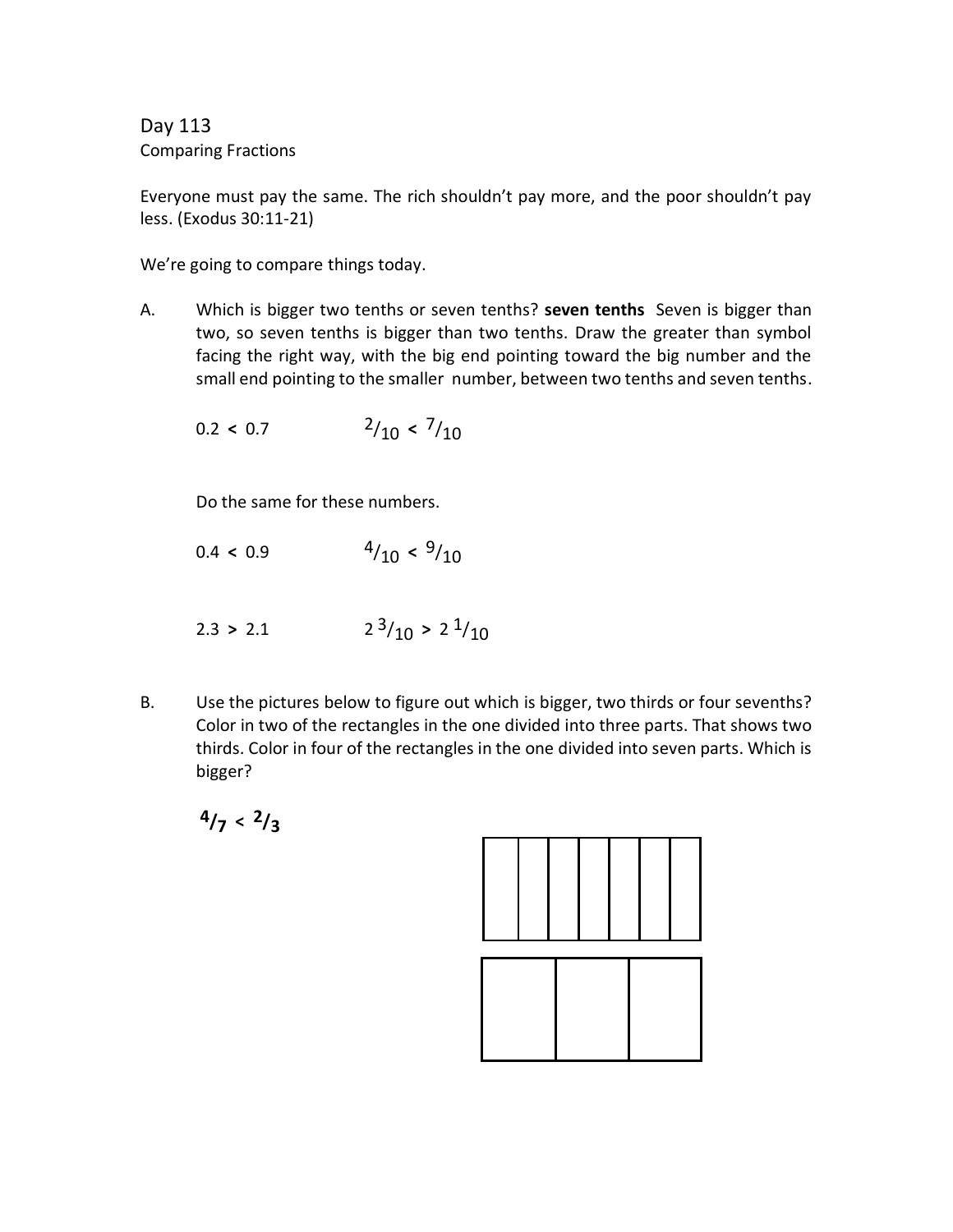Day 113 Comparing Fractions

Everyone must pay the same. The rich shouldn't pay more, and the poor shouldn't pay less. (Exodus 30:11-21)

We're going to compare things today.

A. Which is bigger two tenths or seven tenths? **seven tenths** Seven is bigger than two, so seven tenths is bigger than two tenths. Draw the greater than symbol facing the right way, with the big end pointing toward the big number and the small end pointing to the smaller number, between two tenths and seven tenths.

$$
0.2 < 0.7 \qquad \qquad {}^{2}/_{10} < \frac{7}{10}
$$

Do the same for these numbers.

- 0.4 **<** 0.9 4/10 **<sup>&</sup>lt;** 9/10
- $2.3 > 2.1$   $2^3/10 > 2^1/10$
- B. Use the pictures below to figure out which is bigger, two thirds or four sevenths? Color in two of the rectangles in the one divided into three parts. That shows two thirds. Color in four of the rectangles in the one divided into seven parts. Which is bigger?

 $4/7 < 2/3$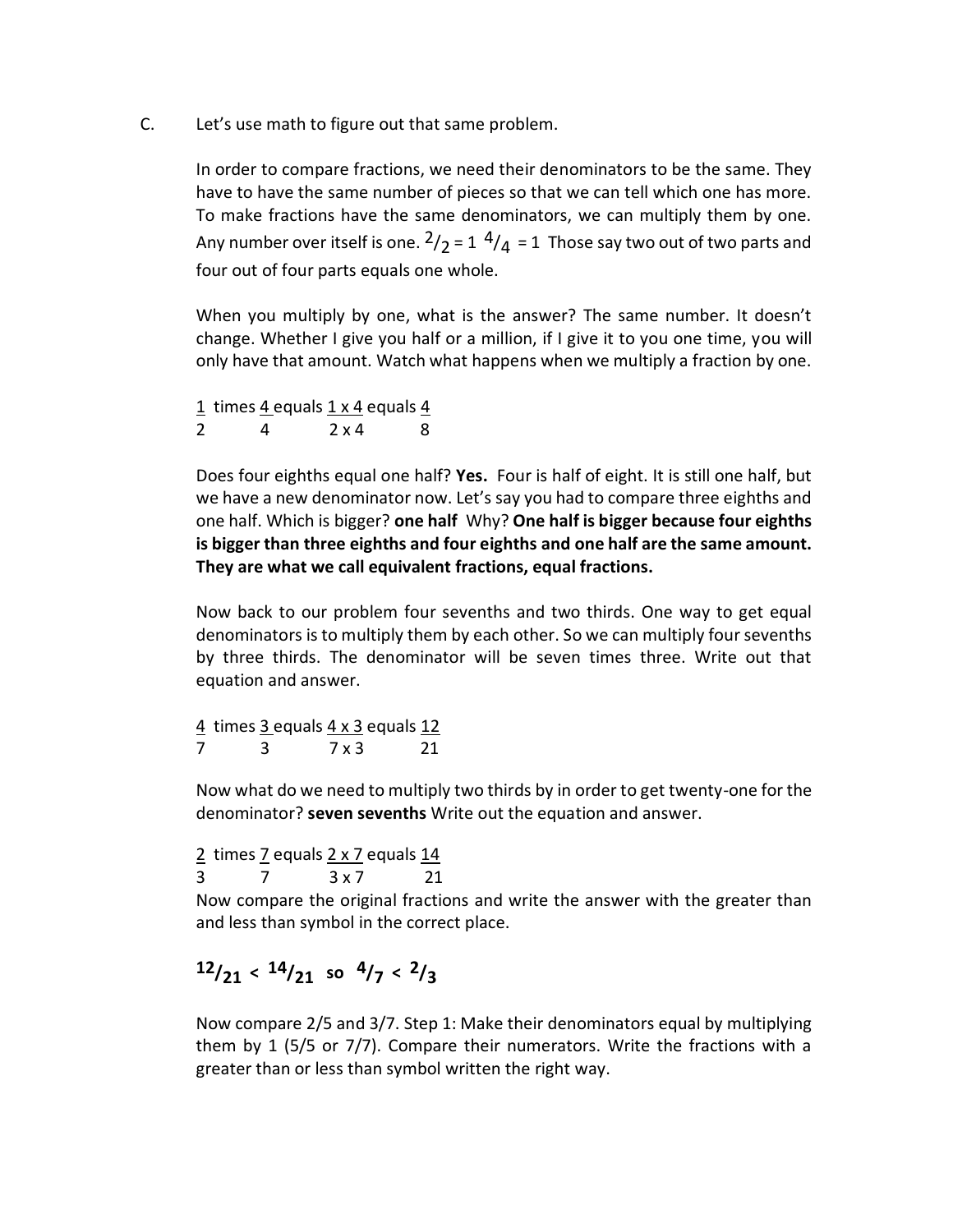C. Let's use math to figure out that same problem.

In order to compare fractions, we need their denominators to be the same. They have to have the same number of pieces so that we can tell which one has more. To make fractions have the same denominators, we can multiply them by one. Any number over itself is one.  $2/2$  = 1  $4/4$  = 1 Those say two out of two parts and four out of four parts equals one whole.

When you multiply by one, what is the answer? The same number. It doesn't change. Whether I give you half or a million, if I give it to you one time, you will only have that amount. Watch what happens when we multiply a fraction by one.

 $1$  times  $4$  equals  $1 \times 4$  equals  $4$  $2 \t 4 \t 2 \times 4 \t 8$ 

Does four eighths equal one half? **Yes.** Four is half of eight. It is still one half, but we have a new denominator now. Let's say you had to compare three eighths and one half. Which is bigger? **one half** Why? **One half is bigger because four eighths is bigger than three eighths and four eighths and one half are the same amount. They are what we call equivalent fractions, equal fractions.** 

Now back to our problem four sevenths and two thirds. One way to get equal denominators is to multiply them by each other. So we can multiply four sevenths by three thirds. The denominator will be seven times three. Write out that equation and answer.

4 times 3 equals  $4 \times 3$  equals  $12$ 7 3 7 x 3 21

Now what do we need to multiply two thirds by in order to get twenty-one for the denominator? **seven sevenths** Write out the equation and answer.

 $2$  times  $7$  equals  $2 \times 7$  equals  $14$  $3 \times 7 \times 3 \times 7 \times 21$ 

Now compare the original fractions and write the answer with the greater than and less than symbol in the correct place.

# **12/21 < 14/21 so 4/7 < 2/3**

Now compare 2/5 and 3/7. Step 1: Make their denominators equal by multiplying them by 1 (5/5 or 7/7). Compare their numerators. Write the fractions with a greater than or less than symbol written the right way.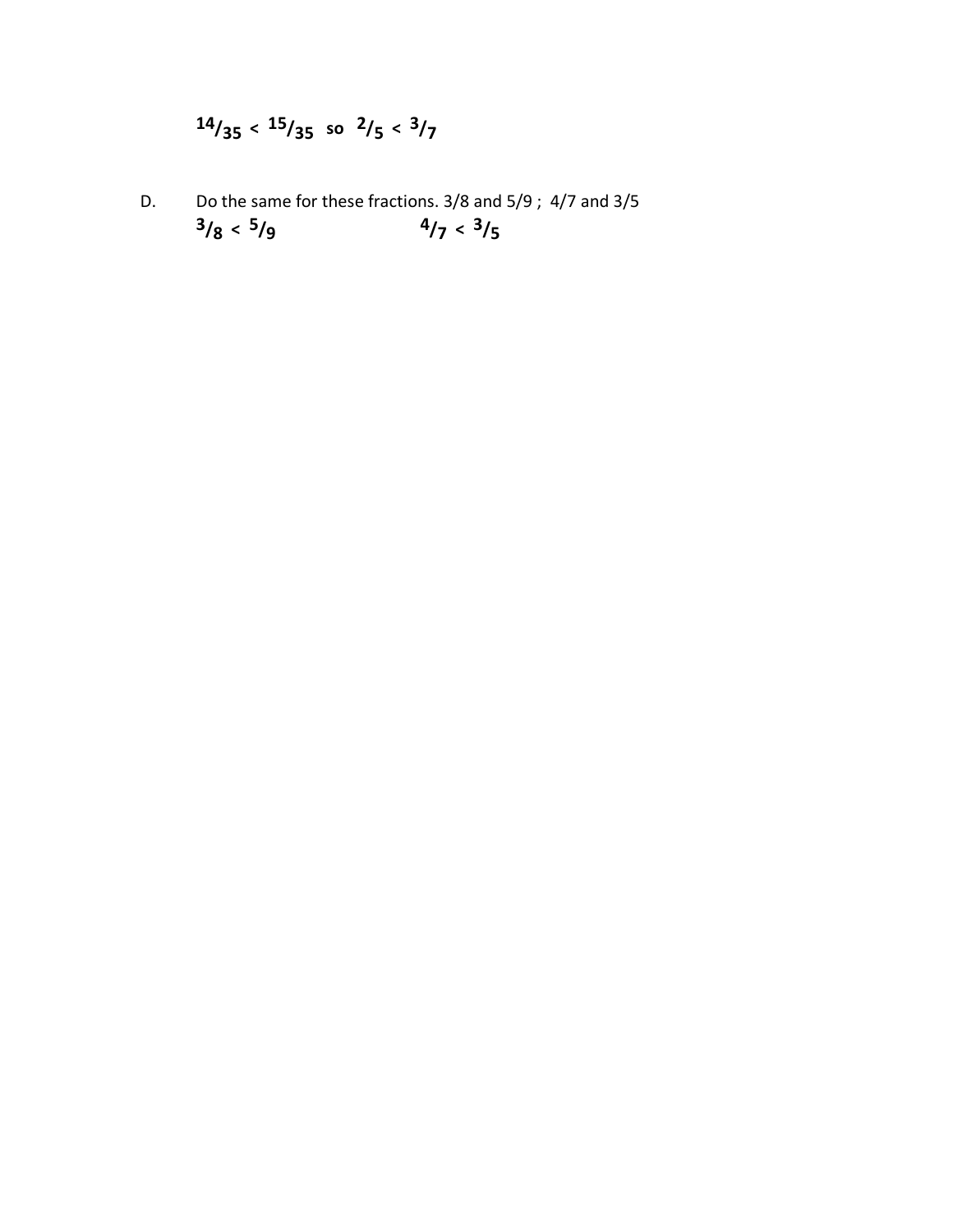# $14/35 < 15/35$  so  $2/5 < 3/7$

D. Do the same for these fractions. 3/8 and 5/9 ; 4/7 and 3/5 **3/8 < 5/9**  $4/7 < 3/5$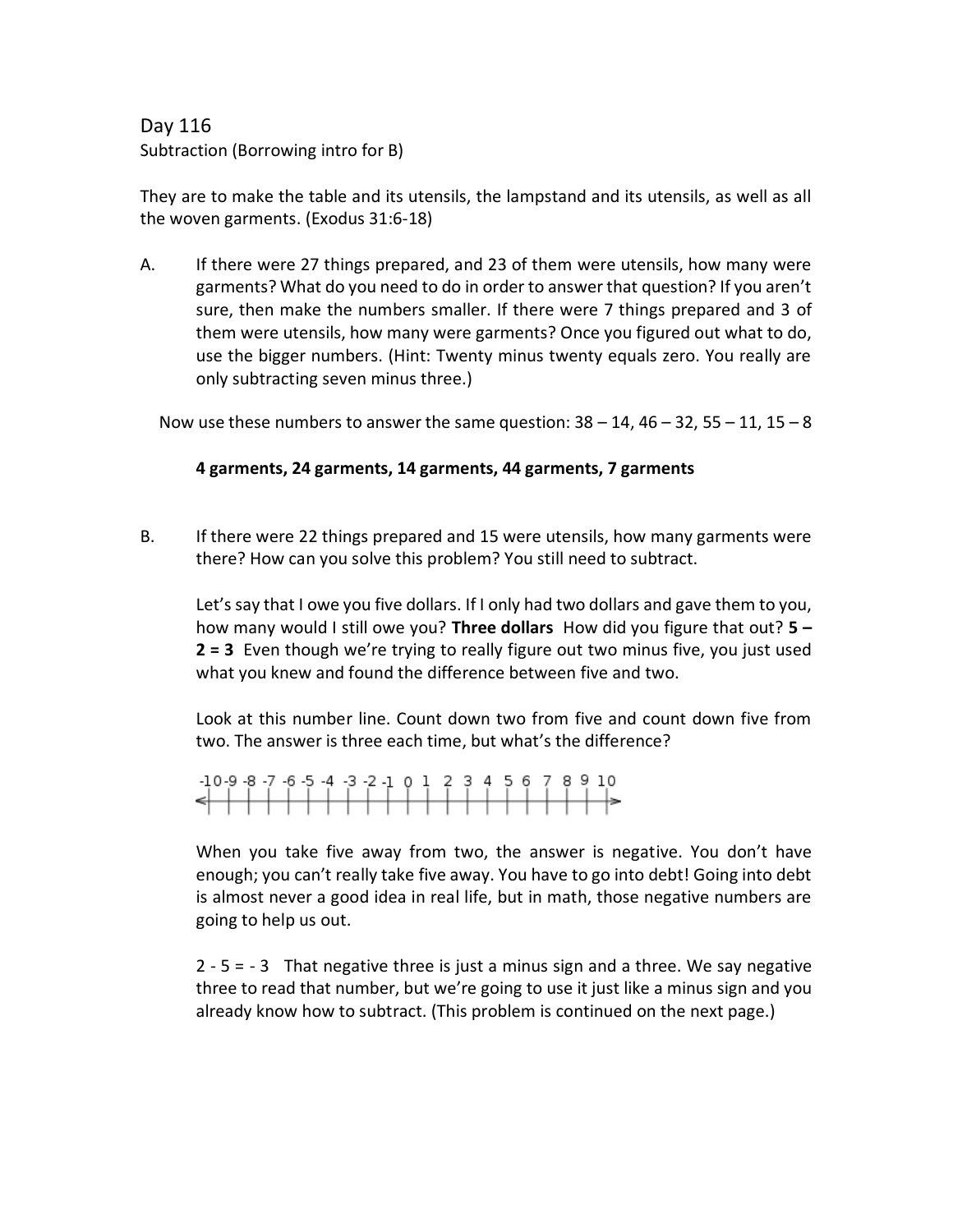# Day 116 Subtraction (Borrowing intro for B)

They are to make the table and its utensils, the lampstand and its utensils, as well as all the woven garments. (Exodus 31:6-18)

A. If there were 27 things prepared, and 23 of them were utensils, how many were garments? What do you need to do in order to answer that question? If you aren't sure, then make the numbers smaller. If there were 7 things prepared and 3 of them were utensils, how many were garments? Once you figured out what to do, use the bigger numbers. (Hint: Twenty minus twenty equals zero. You really are only subtracting seven minus three.)

Now use these numbers to answer the same question:  $38 - 14$ ,  $46 - 32$ ,  $55 - 11$ ,  $15 - 8$ 

#### **4 garments, 24 garments, 14 garments, 44 garments, 7 garments**

B. If there were 22 things prepared and 15 were utensils, how many garments were there? How can you solve this problem? You still need to subtract.

Let's say that I owe you five dollars. If I only had two dollars and gave them to you, how many would I still owe you? **Three dollars** How did you figure that out? **5 – 2 = 3** Even though we're trying to really figure out two minus five, you just used what you knew and found the difference between five and two.

Look at this number line. Count down two from five and count down five from two. The answer is three each time, but what's the difference?

| $-10-9-8-7-6-5-4-3-2-1012345678910$ |  |  |  |  |  |  |  |  |  |  |  |
|-------------------------------------|--|--|--|--|--|--|--|--|--|--|--|
|                                     |  |  |  |  |  |  |  |  |  |  |  |
|                                     |  |  |  |  |  |  |  |  |  |  |  |

When you take five away from two, the answer is negative. You don't have enough; you can't really take five away. You have to go into debt! Going into debt is almost never a good idea in real life, but in math, those negative numbers are going to help us out.

2 - 5 = - 3 That negative three is just a minus sign and a three. We say negative three to read that number, but we're going to use it just like a minus sign and you already know how to subtract. (This problem is continued on the next page.)